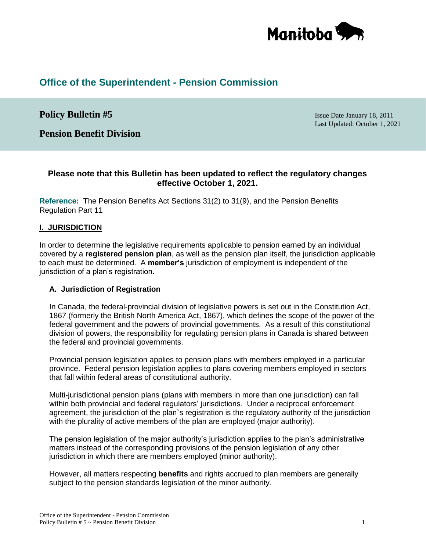

# **Office of the Superintendent - Pension Commission**

# **Policy Bulletin #5** Issue Date January 18, 2011

Last Updated: October 1, 2021

**Pension Benefit Division**

# **Please note that this Bulletin has been updated to reflect the regulatory changes effective October 1, 2021.**

**Reference:** The Pension Benefits Act Sections 31(2) to 31(9), and the Pension Benefits Regulation Part 11

## **I. JURISDICTION**

In order to determine the legislative requirements applicable to pension earned by an individual covered by a **registered pension plan**, as well as the pension plan itself, the jurisdiction applicable to each must be determined. A **member's** jurisdiction of employment is independent of the jurisdiction of a plan's registration.

#### **A. Jurisdiction of Registration**

In Canada, the federal-provincial division of legislative powers is set out in the Constitution Act, 1867 (formerly the British North America Act, 1867), which defines the scope of the power of the federal government and the powers of provincial governments. As a result of this constitutional division of powers, the responsibility for regulating pension plans in Canada is shared between the federal and provincial governments.

Provincial pension legislation applies to pension plans with members employed in a particular province. Federal pension legislation applies to plans covering members employed in sectors that fall within federal areas of constitutional authority.

Multi-jurisdictional pension plans (plans with members in more than one jurisdiction) can fall within both provincial and federal regulators' jurisdictions. Under a reciprocal enforcement agreement, the jurisdiction of the plan`s registration is the regulatory authority of the jurisdiction with the plurality of active members of the plan are employed (major authority).

The pension legislation of the major authority's jurisdiction applies to the plan's administrative matters instead of the corresponding provisions of the pension legislation of any other jurisdiction in which there are members employed (minor authority).

However, all matters respecting **benefits** and rights accrued to plan members are generally subject to the pension standards legislation of the minor authority.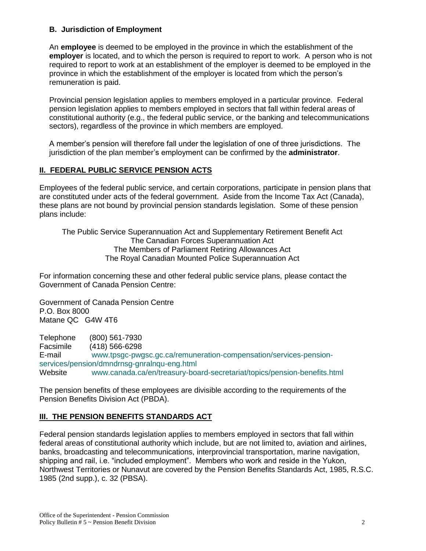## **B. Jurisdiction of Employment**

An **employee** is deemed to be employed in the province in which the establishment of the **employer** is located, and to which the person is required to report to work. A person who is not required to report to work at an establishment of the employer is deemed to be employed in the province in which the establishment of the employer is located from which the person's remuneration is paid.

Provincial pension legislation applies to members employed in a particular province. Federal pension legislation applies to members employed in sectors that fall within federal areas of constitutional authority (e.g., the federal public service, or the banking and telecommunications sectors), regardless of the province in which members are employed.

A member's pension will therefore fall under the legislation of one of three jurisdictions. The jurisdiction of the plan member's employment can be confirmed by the **administrator**.

# **II. FEDERAL PUBLIC SERVICE PENSION ACTS**

Employees of the federal public service, and certain corporations, participate in pension plans that are constituted under acts of the federal government. Aside from the Income Tax Act (Canada), these plans are not bound by provincial pension standards legislation. Some of these pension plans include:

The Public Service Superannuation Act and Supplementary Retirement Benefit Act The Canadian Forces Superannuation Act The Members of Parliament Retiring Allowances Act The Royal Canadian Mounted Police Superannuation Act

For information concerning these and other federal public service plans, please contact the Government of Canada Pension Centre:

Government of Canada Pension Centre P.O. Box 8000 Matane QC G4W 4T6

Telephone (800) 561-7930 Facsimile (418) 566-6298 E-mail [www.tpsgc-pwgsc.gc.ca/remuneration-compensation/services-pension](https://www.tpsgc-pwgsc.gc.ca/remuneration-compensation/services-pension-services/pension/dmndrnsg-gnralnqu-eng.html)[services/pension/dmndrnsg-gnralnqu-eng.html](https://www.tpsgc-pwgsc.gc.ca/remuneration-compensation/services-pension-services/pension/dmndrnsg-gnralnqu-eng.html) Website www.canada.ca/en/treasury-board-secretariat/topics/pension-benefits.html

The pension benefits of these employees are divisible according to the requirements of the Pension Benefits Division Act (PBDA).

# **III. THE PENSION BENEFITS STANDARDS ACT**

Federal pension standards legislation applies to members employed in sectors that fall within federal areas of constitutional authority which include, but are not limited to, aviation and airlines, banks, broadcasting and telecommunications, interprovincial transportation, marine navigation, shipping and rail, i.e. "included employment". Members who work and reside in the Yukon, Northwest Territories or Nunavut are covered by the Pension Benefits Standards Act, 1985, R.S.C. 1985 (2nd supp.), c. 32 (PBSA).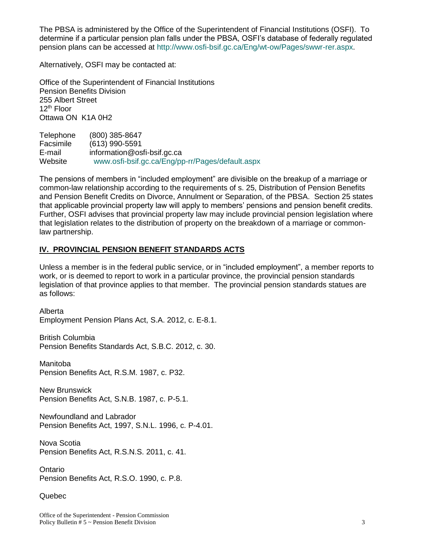The PBSA is administered by the Office of the Superintendent of Financial Institutions (OSFI). To determine if a particular pension plan falls under the PBSA, OSFI's database of federally regulated pension plans can be accessed at [http://www.osfi-bsif.gc.ca/Eng/wt-ow/Pages/swwr-rer.aspx.](http://www.osfi-bsif.gc.ca/Eng/wt-ow/Pages/swwr-rer.aspx)

Alternatively, OSFI may be contacted at:

Office of the Superintendent of Financial Institutions Pension Benefits Division 255 Albert Street  $12<sup>th</sup>$  Floor Ottawa ON K1A 0H2

Telephone (800) 385-8647 Facsimile (613) 990-5591 E-mail [information@osfi-bsif.gc.ca](mailto:information@osfi-bsif.gc.ca) Website [www.osfi-bsif.gc.ca/Eng/pp-rr/Pages/default.aspx](http://www.osfi-bsif.gc.ca/Eng/pp-rr/Pages/default.aspx)

The pensions of members in "included employment" are divisible on the breakup of a marriage or common-law relationship according to the requirements of s. 25, Distribution of Pension Benefits and Pension Benefit Credits on Divorce, Annulment or Separation, of the PBSA. Section 25 states that applicable provincial property law will apply to members' pensions and pension benefit credits. Further, OSFI advises that provincial property law may include provincial pension legislation where that legislation relates to the distribution of property on the breakdown of a marriage or commonlaw partnership.

# **IV. PROVINCIAL PENSION BENEFIT STANDARDS ACTS**

Unless a member is in the federal public service, or in "included employment", a member reports to work, or is deemed to report to work in a particular province, the provincial pension standards legislation of that province applies to that member. The provincial pension standards statues are as follows:

Alberta Employment Pension Plans Act, S.A. 2012, c. E-8.1.

British Columbia Pension Benefits Standards Act, S.B.C. 2012, c. 30.

Manitoba Pension Benefits Act, R.S.M. 1987, c. P32.

New Brunswick Pension Benefits Act, S.N.B. 1987, c. P-5.1.

Newfoundland and Labrador Pension Benefits Act, 1997, S.N.L. 1996, c. P-4.01.

Nova Scotia Pension Benefits Act, R.S.N.S. 2011, c. 41.

Ontario Pension Benefits Act, R.S.O. 1990, c. P.8.

## Quebec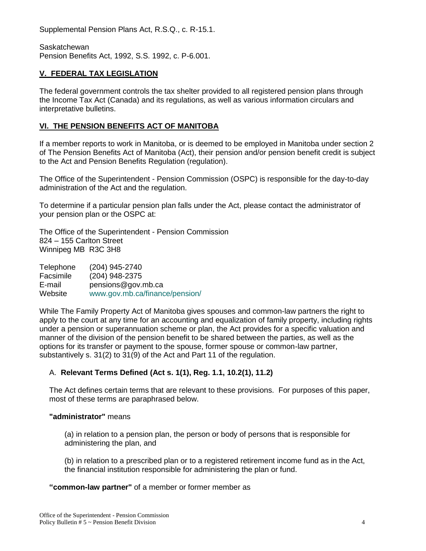Supplemental Pension Plans Act, R.S.Q., c. R-15.1.

Saskatchewan Pension Benefits Act, 1992, S.S. 1992, c. P-6.001.

## **V. FEDERAL TAX LEGISLATION**

The federal government controls the tax shelter provided to all registered pension plans through the Income Tax Act (Canada) and its regulations, as well as various information circulars and interpretative bulletins.

# **VI. THE PENSION BENEFITS ACT OF MANITOBA**

If a member reports to work in Manitoba, or is deemed to be employed in Manitoba under section 2 of The Pension Benefits Act of Manitoba (Act), their pension and/or pension benefit credit is subject to the Act and Pension Benefits Regulation (regulation).

The Office of the Superintendent - Pension Commission (OSPC) is responsible for the day-to-day administration of the Act and the regulation.

To determine if a particular pension plan falls under the Act, please contact the administrator of your pension plan or the OSPC at:

The Office of the Superintendent - Pension Commission 824 – 155 Carlton Street Winnipeg MB R3C 3H8

Telephone (204) 945-2740 Facsimile (204) 948-2375 E-mail [pensions@gov.mb.ca](mailto:pensions@gov.mb.ca) Website [www.gov.mb.ca/finance/pension/](file:///C:/Users/PDesrocher/AppData/Local/Microsoft/Windows/INetCache/Content.Outlook/H4A2QG7A/www.gov.mb.ca/finance/pension/)

While The Family Property Act of Manitoba gives spouses and common-law partners the right to apply to the court at any time for an accounting and equalization of family property, including rights under a pension or superannuation scheme or plan, the Act provides for a specific valuation and manner of the division of the pension benefit to be shared between the parties, as well as the options for its transfer or payment to the spouse, former spouse or common-law partner, substantively s. 31(2) to 31(9) of the Act and Part 11 of the regulation.

# A. **Relevant Terms Defined (Act s. 1(1), Reg. 1.1, 10.2(1), 11.2)**

The Act defines certain terms that are relevant to these provisions. For purposes of this paper, most of these terms are paraphrased below.

## **"administrator"** means

(a) in relation to a pension plan, the person or body of persons that is responsible for administering the plan, and

(b) in relation to a prescribed plan or to a registered retirement income fund as in the Act, the financial institution responsible for administering the plan or fund.

#### **"common-law partner"** of a member or former member as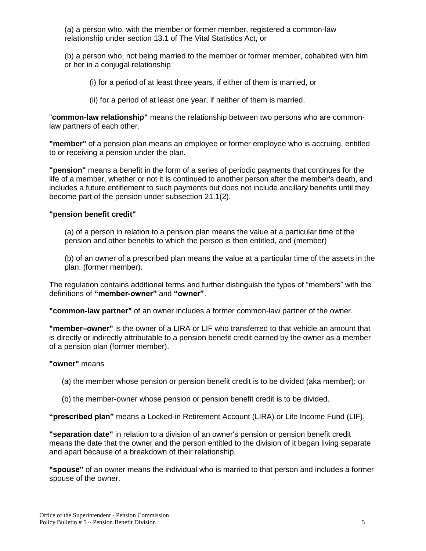(a) a person who, with the member or former member, registered a common-law relationship under section 13.1 of The Vital Statistics Act, or

(b) a person who, not being married to the member or former member, cohabited with him or her in a conjugal relationship

- (i) for a period of at least three years, if either of them is married, or
- (ii) for a period of at least one year, if neither of them is married.

"**common-law relationship"** means the relationship between two persons who are commonlaw partners of each other.

**"member"** of a pension plan means an employee or former employee who is accruing, entitled to or receiving a pension under the plan.

**"pension"** means a benefit in the form of a series of periodic payments that continues for the life of a member, whether or not it is continued to another person after the member's death, and includes a future entitlement to such payments but does not include ancillary benefits until they become part of the pension under subsection 21.1(2).

#### **"pension benefit credit"**

(a) of a person in relation to a pension plan means the value at a particular time of the pension and other benefits to which the person is then entitled, and (member)

(b) of an owner of a prescribed plan means the value at a particular time of the assets in the plan. (former member).

The regulation contains additional terms and further distinguish the types of "members" with the definitions of **"member-owner"** and **"owner"**.

**"common-law partner"** of an owner includes a former common-law partner of the owner.

**"member–owner"** is the owner of a LIRA or LIF who transferred to that vehicle an amount that is directly or indirectly attributable to a pension benefit credit earned by the owner as a member of a pension plan (former member).

#### **"owner"** means

- (a) the member whose pension or pension benefit credit is to be divided (aka member); or
- (b) the member-owner whose pension or pension benefit credit is to be divided.

**"prescribed plan"** means a Locked-in Retirement Account (LIRA) or Life Income Fund (LIF).

**"separation date"** in relation to a division of an owner's pension or pension benefit credit means the date that the owner and the person entitled to the division of it began living separate and apart because of a breakdown of their relationship.

**"spouse"** of an owner means the individual who is married to that person and includes a former spouse of the owner.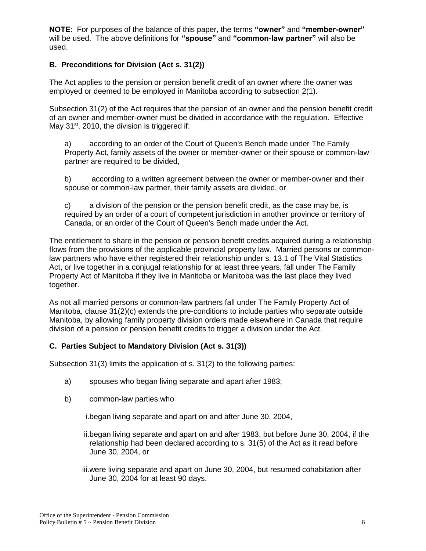**NOTE**: For purposes of the balance of this paper, the terms **"owner"** and **"member-owner"** will be used. The above definitions for **"spouse"** and **"common-law partner"** will also be used.

# **B. Preconditions for Division (Act s. 31(2))**

The Act applies to the pension or pension benefit credit of an owner where the owner was employed or deemed to be employed in Manitoba according to subsection 2(1).

Subsection 31(2) of the Act requires that the pension of an owner and the pension benefit credit of an owner and member-owner must be divided in accordance with the regulation. Effective May  $31<sup>st</sup>$ , 2010, the division is triggered if:

a) according to an order of the Court of Queen's Bench made under The Family Property Act, family assets of the owner or member-owner or their spouse or common-law partner are required to be divided,

b) according to a written agreement between the owner or member-owner and their spouse or common-law partner, their family assets are divided, or

c) a division of the pension or the pension benefit credit, as the case may be, is required by an order of a court of competent jurisdiction in another province or territory of Canada, or an order of the Court of Queen's Bench made under the Act.

The entitlement to share in the pension or pension benefit credits acquired during a relationship flows from the provisions of the applicable provincial property law. Married persons or commonlaw partners who have either registered their relationship under s. 13.1 of The Vital Statistics Act, or live together in a conjugal relationship for at least three years, fall under The Family Property Act of Manitoba if they live in Manitoba or Manitoba was the last place they lived together.

As not all married persons or common-law partners fall under The Family Property Act of Manitoba, clause 31(2)(c) extends the pre-conditions to include parties who separate outside Manitoba, by allowing family property division orders made elsewhere in Canada that require division of a pension or pension benefit credits to trigger a division under the Act.

## **C. Parties Subject to Mandatory Division (Act s. 31(3))**

Subsection 31(3) limits the application of s. 31(2) to the following parties:

- a) spouses who began living separate and apart after 1983;
- b) common-law parties who

i.began living separate and apart on and after June 30, 2004,

ii.began living separate and apart on and after 1983, but before June 30, 2004, if the relationship had been declared according to s. 31(5) of the Act as it read before June 30, 2004, or

iii.were living separate and apart on June 30, 2004, but resumed cohabitation after June 30, 2004 for at least 90 days.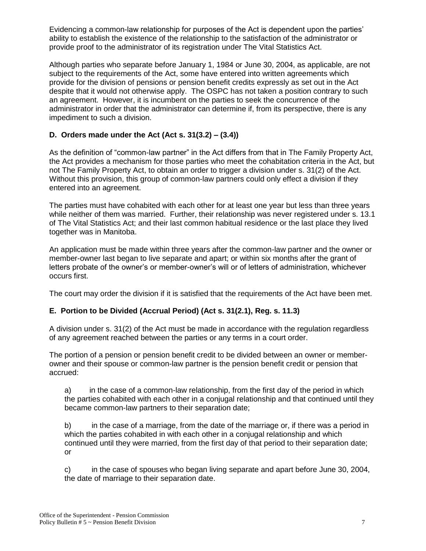Evidencing a common-law relationship for purposes of the Act is dependent upon the parties' ability to establish the existence of the relationship to the satisfaction of the administrator or provide proof to the administrator of its registration under The Vital Statistics Act.

Although parties who separate before January 1, 1984 or June 30, 2004, as applicable, are not subject to the requirements of the Act, some have entered into written agreements which provide for the division of pensions or pension benefit credits expressly as set out in the Act despite that it would not otherwise apply. The OSPC has not taken a position contrary to such an agreement. However, it is incumbent on the parties to seek the concurrence of the administrator in order that the administrator can determine if, from its perspective, there is any impediment to such a division.

# **D. Orders made under the Act (Act s. 31(3.2) – (3.4))**

As the definition of "common-law partner" in the Act differs from that in The Family Property Act, the Act provides a mechanism for those parties who meet the cohabitation criteria in the Act, but not The Family Property Act, to obtain an order to trigger a division under s. 31(2) of the Act. Without this provision, this group of common-law partners could only effect a division if they entered into an agreement.

The parties must have cohabited with each other for at least one year but less than three years while neither of them was married. Further, their relationship was never registered under s. 13.1 of The Vital Statistics Act; and their last common habitual residence or the last place they lived together was in Manitoba.

An application must be made within three years after the common-law partner and the owner or member-owner last began to live separate and apart; or within six months after the grant of letters probate of the owner's or member-owner's will or of letters of administration, whichever occurs first.

The court may order the division if it is satisfied that the requirements of the Act have been met.

# **E. Portion to be Divided (Accrual Period) (Act s. 31(2.1), Reg. s. 11.3)**

A division under s. 31(2) of the Act must be made in accordance with the regulation regardless of any agreement reached between the parties or any terms in a court order.

The portion of a pension or pension benefit credit to be divided between an owner or memberowner and their spouse or common-law partner is the pension benefit credit or pension that accrued:

a) in the case of a common-law relationship, from the first day of the period in which the parties cohabited with each other in a conjugal relationship and that continued until they became common-law partners to their separation date;

b) in the case of a marriage, from the date of the marriage or, if there was a period in which the parties cohabited in with each other in a conjugal relationship and which continued until they were married, from the first day of that period to their separation date; or

c) in the case of spouses who began living separate and apart before June 30, 2004, the date of marriage to their separation date.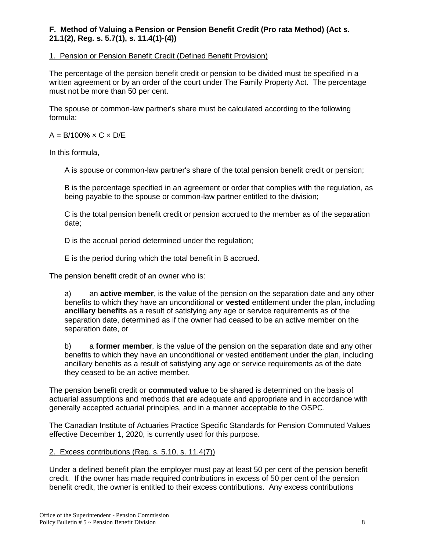# **F. Method of Valuing a Pension or Pension Benefit Credit (Pro rata Method) (Act s. 21.1(2), Reg. s. 5.7(1), s. 11.4(1)-(4))**

## 1. Pension or Pension Benefit Credit (Defined Benefit Provision)

The percentage of the pension benefit credit or pension to be divided must be specified in a written agreement or by an order of the court under The Family Property Act. The percentage must not be more than 50 per cent.

The spouse or common-law partner's share must be calculated according to the following formula:

 $A = B/100\% \times C \times D/E$ 

In this formula,

A is spouse or common-law partner's share of the total pension benefit credit or pension;

B is the percentage specified in an agreement or order that complies with the regulation, as being payable to the spouse or common-law partner entitled to the division;

C is the total pension benefit credit or pension accrued to the member as of the separation date;

D is the accrual period determined under the regulation;

E is the period during which the total benefit in B accrued.

The pension benefit credit of an owner who is:

a) an **active member**, is the value of the pension on the separation date and any other benefits to which they have an unconditional or **vested** entitlement under the plan, including **ancillary benefits** as a result of satisfying any age or service requirements as of the separation date, determined as if the owner had ceased to be an active member on the separation date, or

b) a **former member**, is the value of the pension on the separation date and any other benefits to which they have an unconditional or vested entitlement under the plan, including ancillary benefits as a result of satisfying any age or service requirements as of the date they ceased to be an active member.

The pension benefit credit or **commuted value** to be shared is determined on the basis of actuarial assumptions and methods that are adequate and appropriate and in accordance with generally accepted actuarial principles, and in a manner acceptable to the OSPC.

The Canadian Institute of Actuaries Practice Specific Standards for Pension Commuted Values effective December 1, 2020, is currently used for this purpose.

## 2. Excess contributions (Reg. s. 5.10, s. 11.4(7))

Under a defined benefit plan the employer must pay at least 50 per cent of the pension benefit credit. If the owner has made required contributions in excess of 50 per cent of the pension benefit credit, the owner is entitled to their excess contributions. Any excess contributions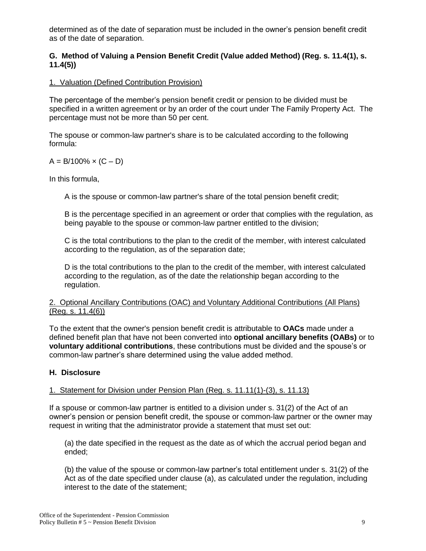determined as of the date of separation must be included in the owner's pension benefit credit as of the date of separation.

# **G. Method of Valuing a Pension Benefit Credit (Value added Method) (Reg. s. 11.4(1), s. 11.4(5))**

# 1. Valuation (Defined Contribution Provision)

The percentage of the member's pension benefit credit or pension to be divided must be specified in a written agreement or by an order of the court under The Family Property Act. The percentage must not be more than 50 per cent.

The spouse or common-law partner's share is to be calculated according to the following formula:

## $A = B/100\% \times (C - D)$

In this formula,

A is the spouse or common-law partner's share of the total pension benefit credit;

B is the percentage specified in an agreement or order that complies with the regulation, as being payable to the spouse or common-law partner entitled to the division;

C is the total contributions to the plan to the credit of the member, with interest calculated according to the regulation, as of the separation date;

D is the total contributions to the plan to the credit of the member, with interest calculated according to the regulation, as of the date the relationship began according to the regulation.

#### 2. Optional Ancillary Contributions (OAC) and Voluntary Additional Contributions (All Plans) (Reg. s. 11.4(6))

To the extent that the owner's pension benefit credit is attributable to **OACs** made under a defined benefit plan that have not been converted into **optional ancillary benefits (OABs)** or to **voluntary additional contributions**, these contributions must be divided and the spouse's or common-law partner's share determined using the value added method.

## **H. Disclosure**

## 1. Statement for Division under Pension Plan (Reg. s. 11.11(1)-(3), s. 11.13)

If a spouse or common-law partner is entitled to a division under s. 31(2) of the Act of an owner's pension or pension benefit credit, the spouse or common-law partner or the owner may request in writing that the administrator provide a statement that must set out:

(a) the date specified in the request as the date as of which the accrual period began and ended;

(b) the value of the spouse or common-law partner's total entitlement under s. 31(2) of the Act as of the date specified under clause (a), as calculated under the regulation, including interest to the date of the statement;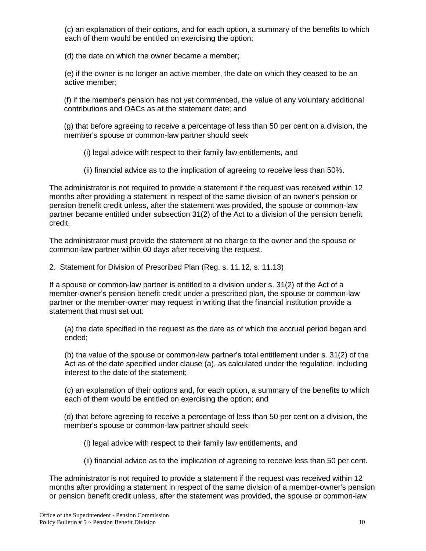(c) an explanation of their options, and for each option, a summary of the benefits to which each of them would be entitled on exercising the option;

(d) the date on which the owner became a member;

(e) if the owner is no longer an active member, the date on which they ceased to be an active member;

(f) if the member's pension has not yet commenced, the value of any voluntary additional contributions and OACs as at the statement date; and

(g) that before agreeing to receive a percentage of less than 50 per cent on a division, the member's spouse or common-law partner should seek

(i) legal advice with respect to their family law entitlements, and

(ii) financial advice as to the implication of agreeing to receive less than 50%.

The administrator is not required to provide a statement if the request was received within 12 months after providing a statement in respect of the same division of an owner's pension or pension benefit credit unless, after the statement was provided, the spouse or common-law partner became entitled under subsection 31(2) of the Act to a division of the pension benefit credit.

The administrator must provide the statement at no charge to the owner and the spouse or common-law partner within 60 days after receiving the request.

#### 2. Statement for Division of Prescribed Plan (Reg. s. 11.12, s. 11.13)

If a spouse or common-law partner is entitled to a division under s. 31(2) of the Act of a member-owner's pension benefit credit under a prescribed plan, the spouse or common-law partner or the member-owner may request in writing that the financial institution provide a statement that must set out:

(a) the date specified in the request as the date as of which the accrual period began and ended;

(b) the value of the spouse or common-law partner's total entitlement under s. 31(2) of the Act as of the date specified under clause (a), as calculated under the regulation, including interest to the date of the statement;

(c) an explanation of their options and, for each option, a summary of the benefits to which each of them would be entitled on exercising the option; and

(d) that before agreeing to receive a percentage of less than 50 per cent on a division, the member's spouse or common-law partner should seek

- (i) legal advice with respect to their family law entitlements, and
- (ii) financial advice as to the implication of agreeing to receive less than 50 per cent.

The administrator is not required to provide a statement if the request was received within 12 months after providing a statement in respect of the same division of a member-owner's pension or pension benefit credit unless, after the statement was provided, the spouse or common-law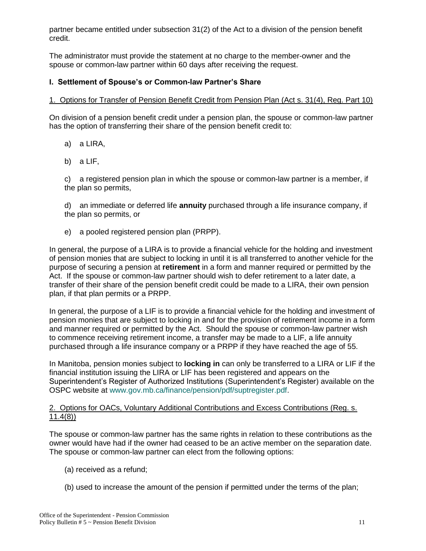partner became entitled under subsection 31(2) of the Act to a division of the pension benefit credit.

The administrator must provide the statement at no charge to the member-owner and the spouse or common-law partner within 60 days after receiving the request.

# **I. Settlement of Spouse's or Common-law Partner's Share**

## 1. Options for Transfer of Pension Benefit Credit from Pension Plan (Act s. 31(4), Reg. Part 10)

On division of a pension benefit credit under a pension plan, the spouse or common-law partner has the option of transferring their share of the pension benefit credit to:

- a) a LIRA,
- b) a LIF,

c) a registered pension plan in which the spouse or common-law partner is a member, if the plan so permits,

d) an immediate or deferred life **annuity** purchased through a life insurance company, if the plan so permits, or

e) a pooled registered pension plan (PRPP).

In general, the purpose of a LIRA is to provide a financial vehicle for the holding and investment of pension monies that are subject to locking in until it is all transferred to another vehicle for the purpose of securing a pension at **retirement** in a form and manner required or permitted by the Act. If the spouse or common-law partner should wish to defer retirement to a later date, a transfer of their share of the pension benefit credit could be made to a LIRA, their own pension plan, if that plan permits or a PRPP.

In general, the purpose of a LIF is to provide a financial vehicle for the holding and investment of pension monies that are subject to locking in and for the provision of retirement income in a form and manner required or permitted by the Act. Should the spouse or common-law partner wish to commence receiving retirement income, a transfer may be made to a LIF, a life annuity purchased through a life insurance company or a PRPP if they have reached the age of 55.

In Manitoba, pension monies subject to **locking in** can only be transferred to a LIRA or LIF if the financial institution issuing the LIRA or LIF has been registered and appears on the Superintendent's Register of Authorized Institutions (Superintendent's Register) available on the OSPC website at [www.gov.mb.ca/finance/pension/pdf/suptregister.pdf.](https://gov.mb.ca/finance/pension/pdf/suptregister.pdf)

## 2. Options for OACs, Voluntary Additional Contributions and Excess Contributions (Reg. s. 11.4(8))

The spouse or common-law partner has the same rights in relation to these contributions as the owner would have had if the owner had ceased to be an active member on the separation date. The spouse or common-law partner can elect from the following options:

- (a) received as a refund;
- (b) used to increase the amount of the pension if permitted under the terms of the plan;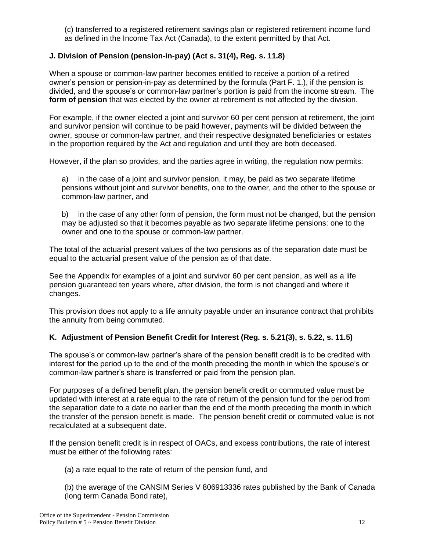(c) transferred to a registered retirement savings plan or registered retirement income fund as defined in the Income Tax Act (Canada), to the extent permitted by that Act.

# **J. Division of Pension (pension-in-pay) (Act s. 31(4), Reg. s. 11.8)**

When a spouse or common-law partner becomes entitled to receive a portion of a retired owner's pension or pension-in-pay as determined by the formula (Part F. 1.), if the pension is divided, and the spouse's or common-law partner's portion is paid from the income stream. The **form of pension** that was elected by the owner at retirement is not affected by the division.

For example, if the owner elected a joint and survivor 60 per cent pension at retirement, the joint and survivor pension will continue to be paid however, payments will be divided between the owner, spouse or common-law partner, and their respective designated beneficiaries or estates in the proportion required by the Act and regulation and until they are both deceased.

However, if the plan so provides, and the parties agree in writing, the regulation now permits:

a) in the case of a joint and survivor pension, it may, be paid as two separate lifetime pensions without joint and survivor benefits, one to the owner, and the other to the spouse or common-law partner, and

b) in the case of any other form of pension, the form must not be changed, but the pension may be adjusted so that it becomes payable as two separate lifetime pensions: one to the owner and one to the spouse or common-law partner.

The total of the actuarial present values of the two pensions as of the separation date must be equal to the actuarial present value of the pension as of that date.

See the Appendix for examples of a joint and survivor 60 per cent pension, as well as a life pension guaranteed ten years where, after division, the form is not changed and where it changes.

This provision does not apply to a life annuity payable under an insurance contract that prohibits the annuity from being commuted.

# **K. Adjustment of Pension Benefit Credit for Interest (Reg. s. 5.21(3), s. 5.22, s. 11.5)**

The spouse's or common-law partner's share of the pension benefit credit is to be credited with interest for the period up to the end of the month preceding the month in which the spouse's or common-law partner's share is transferred or paid from the pension plan.

For purposes of a defined benefit plan, the pension benefit credit or commuted value must be updated with interest at a rate equal to the rate of return of the pension fund for the period from the separation date to a date no earlier than the end of the month preceding the month in which the transfer of the pension benefit is made. The pension benefit credit or commuted value is not recalculated at a subsequent date.

If the pension benefit credit is in respect of OACs, and excess contributions, the rate of interest must be either of the following rates:

(a) a rate equal to the rate of return of the pension fund, and

(b) the average of the CANSIM Series V 806913336 rates published by the Bank of Canada (long term Canada Bond rate),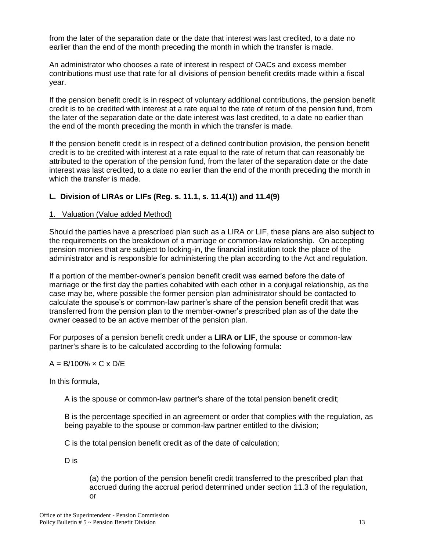from the later of the separation date or the date that interest was last credited, to a date no earlier than the end of the month preceding the month in which the transfer is made.

An administrator who chooses a rate of interest in respect of OACs and excess member contributions must use that rate for all divisions of pension benefit credits made within a fiscal year.

If the pension benefit credit is in respect of voluntary additional contributions, the pension benefit credit is to be credited with interest at a rate equal to the rate of return of the pension fund, from the later of the separation date or the date interest was last credited, to a date no earlier than the end of the month preceding the month in which the transfer is made.

If the pension benefit credit is in respect of a defined contribution provision, the pension benefit credit is to be credited with interest at a rate equal to the rate of return that can reasonably be attributed to the operation of the pension fund, from the later of the separation date or the date interest was last credited, to a date no earlier than the end of the month preceding the month in which the transfer is made.

# **L. Division of LIRAs or LIFs (Reg. s. 11.1, s. 11.4(1)) and 11.4(9)**

#### 1. Valuation (Value added Method)

Should the parties have a prescribed plan such as a LIRA or LIF, these plans are also subject to the requirements on the breakdown of a marriage or common-law relationship. On accepting pension monies that are subject to locking-in, the financial institution took the place of the administrator and is responsible for administering the plan according to the Act and regulation.

If a portion of the member-owner's pension benefit credit was earned before the date of marriage or the first day the parties cohabited with each other in a conjugal relationship, as the case may be, where possible the former pension plan administrator should be contacted to calculate the spouse's or common-law partner's share of the pension benefit credit that was transferred from the pension plan to the member-owner's prescribed plan as of the date the owner ceased to be an active member of the pension plan.

For purposes of a pension benefit credit under a **LIRA or LIF**, the spouse or common-law partner's share is to be calculated according to the following formula:

## $A = B/100\% \times C \times D/E$

In this formula,

A is the spouse or common-law partner's share of the total pension benefit credit;

B is the percentage specified in an agreement or order that complies with the regulation, as being payable to the spouse or common-law partner entitled to the division;

C is the total pension benefit credit as of the date of calculation;

D is

(a) the portion of the pension benefit credit transferred to the prescribed plan that accrued during the accrual period determined under section 11.3 of the regulation, or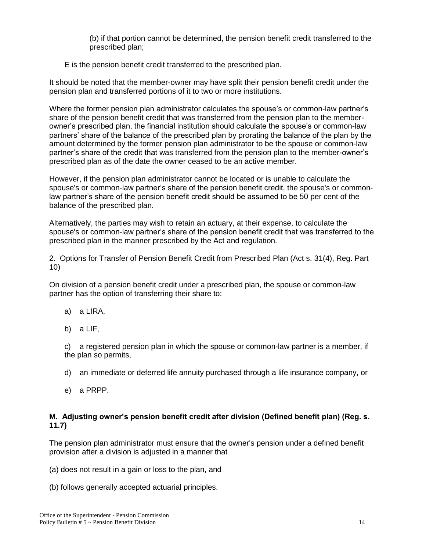(b) if that portion cannot be determined, the pension benefit credit transferred to the prescribed plan;

## E is the pension benefit credit transferred to the prescribed plan.

It should be noted that the member-owner may have split their pension benefit credit under the pension plan and transferred portions of it to two or more institutions.

Where the former pension plan administrator calculates the spouse's or common-law partner's share of the pension benefit credit that was transferred from the pension plan to the memberowner's prescribed plan, the financial institution should calculate the spouse's or common-law partners' share of the balance of the prescribed plan by prorating the balance of the plan by the amount determined by the former pension plan administrator to be the spouse or common-law partner's share of the credit that was transferred from the pension plan to the member-owner's prescribed plan as of the date the owner ceased to be an active member.

However, if the pension plan administrator cannot be located or is unable to calculate the spouse's or common-law partner's share of the pension benefit credit, the spouse's or commonlaw partner's share of the pension benefit credit should be assumed to be 50 per cent of the balance of the prescribed plan.

Alternatively, the parties may wish to retain an actuary, at their expense, to calculate the spouse's or common-law partner's share of the pension benefit credit that was transferred to the prescribed plan in the manner prescribed by the Act and regulation.

## 2. Options for Transfer of Pension Benefit Credit from Prescribed Plan (Act s. 31(4), Reg. Part 10)

On division of a pension benefit credit under a prescribed plan, the spouse or common-law partner has the option of transferring their share to:

- a) a LIRA,
- b) a LIF,

c) a registered pension plan in which the spouse or common-law partner is a member, if the plan so permits,

- d) an immediate or deferred life annuity purchased through a life insurance company, or
- e) a PRPP.

#### **M. Adjusting owner's pension benefit credit after division (Defined benefit plan) (Reg. s. 11.7)**

The pension plan administrator must ensure that the owner's pension under a defined benefit provision after a division is adjusted in a manner that

- (a) does not result in a gain or loss to the plan, and
- (b) follows generally accepted actuarial principles.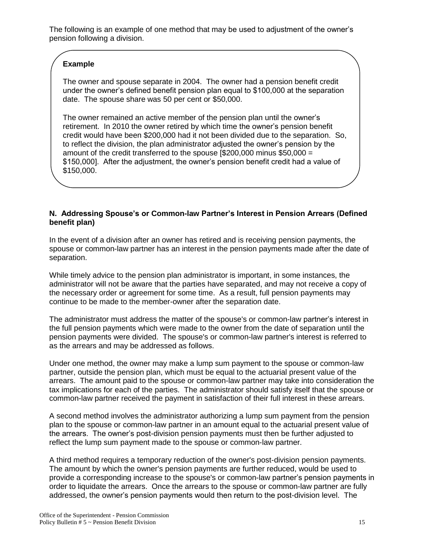The following is an example of one method that may be used to adjustment of the owner's pension following a division.

# **Example**

The owner and spouse separate in 2004. The owner had a pension benefit credit under the owner's defined benefit pension plan equal to \$100,000 at the separation date. The spouse share was 50 per cent or \$50,000.

The owner remained an active member of the pension plan until the owner's retirement. In 2010 the owner retired by which time the owner's pension benefit credit would have been \$200,000 had it not been divided due to the separation. So, to reflect the division, the plan administrator adjusted the owner's pension by the amount of the credit transferred to the spouse [\$200,000 minus \$50,000 = \$150,000]. After the adjustment, the owner's pension benefit credit had a value of \$150,000.

## **N. Addressing Spouse's or Common-law Partner's Interest in Pension Arrears (Defined benefit plan)**

In the event of a division after an owner has retired and is receiving pension payments, the spouse or common-law partner has an interest in the pension payments made after the date of separation.

While timely advice to the pension plan administrator is important, in some instances, the administrator will not be aware that the parties have separated, and may not receive a copy of the necessary order or agreement for some time. As a result, full pension payments may continue to be made to the member-owner after the separation date.

The administrator must address the matter of the spouse's or common-law partner's interest in the full pension payments which were made to the owner from the date of separation until the pension payments were divided. The spouse's or common-law partner's interest is referred to as the arrears and may be addressed as follows.

Under one method, the owner may make a lump sum payment to the spouse or common-law partner, outside the pension plan, which must be equal to the actuarial present value of the arrears. The amount paid to the spouse or common-law partner may take into consideration the tax implications for each of the parties. The administrator should satisfy itself that the spouse or common-law partner received the payment in satisfaction of their full interest in these arrears.

A second method involves the administrator authorizing a lump sum payment from the pension plan to the spouse or common-law partner in an amount equal to the actuarial present value of the arrears. The owner's post-division pension payments must then be further adjusted to reflect the lump sum payment made to the spouse or common-law partner.

A third method requires a temporary reduction of the owner's post-division pension payments. The amount by which the owner's pension payments are further reduced, would be used to provide a corresponding increase to the spouse's or common-law partner's pension payments in order to liquidate the arrears. Once the arrears to the spouse or common-law partner are fully addressed, the owner's pension payments would then return to the post-division level. The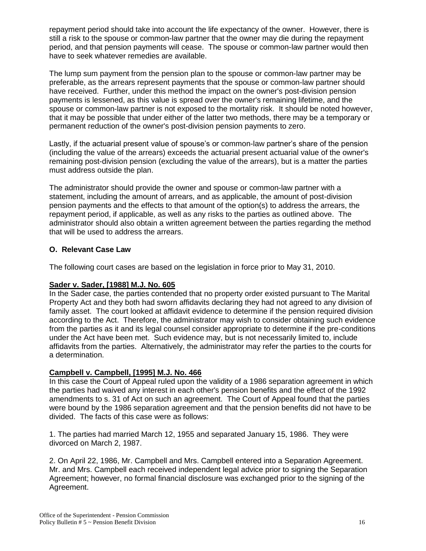repayment period should take into account the life expectancy of the owner. However, there is still a risk to the spouse or common-law partner that the owner may die during the repayment period, and that pension payments will cease. The spouse or common-law partner would then have to seek whatever remedies are available.

The lump sum payment from the pension plan to the spouse or common-law partner may be preferable, as the arrears represent payments that the spouse or common-law partner should have received. Further, under this method the impact on the owner's post-division pension payments is lessened, as this value is spread over the owner's remaining lifetime, and the spouse or common-law partner is not exposed to the mortality risk. It should be noted however, that it may be possible that under either of the latter two methods, there may be a temporary or permanent reduction of the owner's post-division pension payments to zero.

Lastly, if the actuarial present value of spouse's or common-law partner's share of the pension (including the value of the arrears) exceeds the actuarial present actuarial value of the owner's remaining post-division pension (excluding the value of the arrears), but is a matter the parties must address outside the plan.

The administrator should provide the owner and spouse or common-law partner with a statement, including the amount of arrears, and as applicable, the amount of post-division pension payments and the effects to that amount of the option(s) to address the arrears, the repayment period, if applicable, as well as any risks to the parties as outlined above. The administrator should also obtain a written agreement between the parties regarding the method that will be used to address the arrears.

# **O. Relevant Case Law**

The following court cases are based on the legislation in force prior to May 31, 2010.

# **Sader v. Sader, [1988] M.J. No. 605**

In the Sader case, the parties contended that no property order existed pursuant to The Marital Property Act and they both had sworn affidavits declaring they had not agreed to any division of family asset. The court looked at affidavit evidence to determine if the pension required division according to the Act. Therefore, the administrator may wish to consider obtaining such evidence from the parties as it and its legal counsel consider appropriate to determine if the pre-conditions under the Act have been met. Such evidence may, but is not necessarily limited to, include affidavits from the parties. Alternatively, the administrator may refer the parties to the courts for a determination.

# **Campbell v. Campbell, [1995] M.J. No. 466**

In this case the Court of Appeal ruled upon the validity of a 1986 separation agreement in which the parties had waived any interest in each other's pension benefits and the effect of the 1992 amendments to s. 31 of Act on such an agreement. The Court of Appeal found that the parties were bound by the 1986 separation agreement and that the pension benefits did not have to be divided. The facts of this case were as follows:

1. The parties had married March 12, 1955 and separated January 15, 1986. They were divorced on March 2, 1987.

2. On April 22, 1986, Mr. Campbell and Mrs. Campbell entered into a Separation Agreement. Mr. and Mrs. Campbell each received independent legal advice prior to signing the Separation Agreement; however, no formal financial disclosure was exchanged prior to the signing of the Agreement.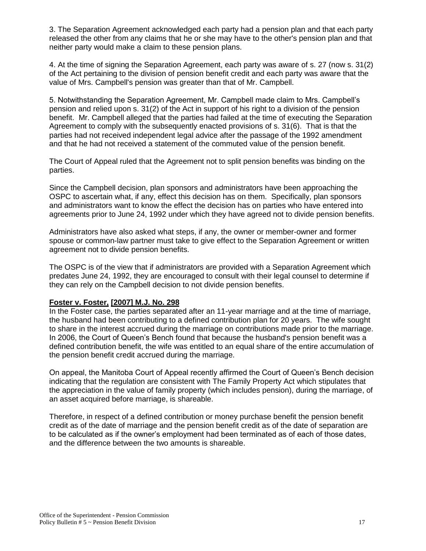3. The Separation Agreement acknowledged each party had a pension plan and that each party released the other from any claims that he or she may have to the other's pension plan and that neither party would make a claim to these pension plans.

4. At the time of signing the Separation Agreement, each party was aware of s. 27 (now s. 31(2) of the Act pertaining to the division of pension benefit credit and each party was aware that the value of Mrs. Campbell's pension was greater than that of Mr. Campbell.

5. Notwithstanding the Separation Agreement, Mr. Campbell made claim to Mrs. Campbell's pension and relied upon s. 31(2) of the Act in support of his right to a division of the pension benefit. Mr. Campbell alleged that the parties had failed at the time of executing the Separation Agreement to comply with the subsequently enacted provisions of s. 31(6). That is that the parties had not received independent legal advice after the passage of the 1992 amendment and that he had not received a statement of the commuted value of the pension benefit.

The Court of Appeal ruled that the Agreement not to split pension benefits was binding on the parties.

Since the Campbell decision, plan sponsors and administrators have been approaching the OSPC to ascertain what, if any, effect this decision has on them. Specifically, plan sponsors and administrators want to know the effect the decision has on parties who have entered into agreements prior to June 24, 1992 under which they have agreed not to divide pension benefits.

Administrators have also asked what steps, if any, the owner or member-owner and former spouse or common-law partner must take to give effect to the Separation Agreement or written agreement not to divide pension benefits.

The OSPC is of the view that if administrators are provided with a Separation Agreement which predates June 24, 1992, they are encouraged to consult with their legal counsel to determine if they can rely on the Campbell decision to not divide pension benefits.

#### **Foster v. Foster, [2007] M.J. No. 298**

In the Foster case, the parties separated after an 11-year marriage and at the time of marriage, the husband had been contributing to a defined contribution plan for 20 years. The wife sought to share in the interest accrued during the marriage on contributions made prior to the marriage. In 2006, the Court of Queen's Bench found that because the husband's pension benefit was a defined contribution benefit, the wife was entitled to an equal share of the entire accumulation of the pension benefit credit accrued during the marriage.

On appeal, the Manitoba Court of Appeal recently affirmed the Court of Queen's Bench decision indicating that the regulation are consistent with The Family Property Act which stipulates that the appreciation in the value of family property (which includes pension), during the marriage, of an asset acquired before marriage, is shareable.

Therefore, in respect of a defined contribution or money purchase benefit the pension benefit credit as of the date of marriage and the pension benefit credit as of the date of separation are to be calculated as if the owner's employment had been terminated as of each of those dates, and the difference between the two amounts is shareable.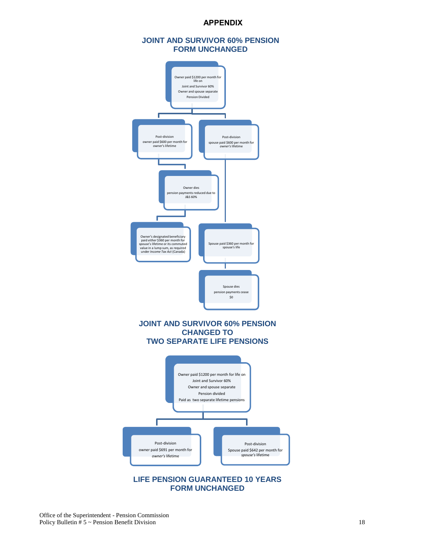#### **APPENDIX**

#### **JOINT AND SURVIVOR 60% PENSION FORM UNCHANGED**



**FORM UNCHANGED**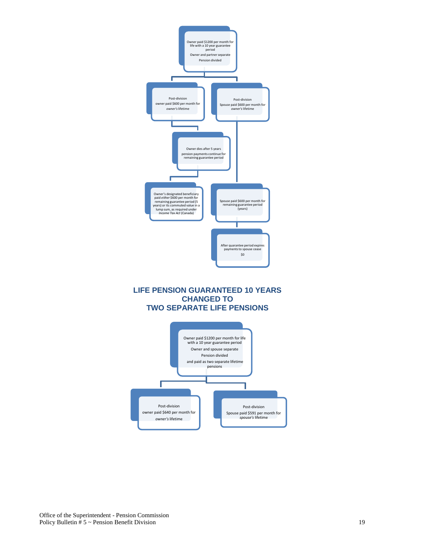

# **CHANGED TO TWO SEPARATE LIFE PENSIONS**

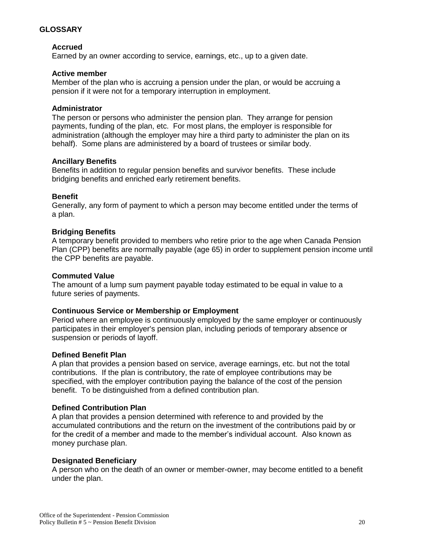## **GLOSSARY**

#### **Accrued**

Earned by an owner according to service, earnings, etc., up to a given date.

#### **Active member**

Member of the plan who is accruing a pension under the plan, or would be accruing a pension if it were not for a temporary interruption in employment.

#### **Administrator**

The person or persons who administer the pension plan. They arrange for pension payments, funding of the plan, etc. For most plans, the employer is responsible for administration (although the employer may hire a third party to administer the plan on its behalf). Some plans are administered by a board of trustees or similar body.

#### **Ancillary Benefits**

Benefits in addition to regular pension benefits and survivor benefits. These include bridging benefits and enriched early retirement benefits.

#### **Benefit**

Generally, any form of payment to which a person may become entitled under the terms of a plan.

#### **Bridging Benefits**

A temporary benefit provided to members who retire prior to the age when Canada Pension Plan (CPP) benefits are normally payable (age 65) in order to supplement pension income until the CPP benefits are payable.

#### **Commuted Value**

The amount of a lump sum payment payable today estimated to be equal in value to a future series of payments.

#### **Continuous Service or Membership or Employment**

Period where an employee is continuously employed by the same employer or continuously participates in their employer's pension plan, including periods of temporary absence or suspension or periods of layoff.

#### **Defined Benefit Plan**

A plan that provides a pension based on service, average earnings, etc. but not the total contributions. If the plan is contributory, the rate of employee contributions may be specified, with the employer contribution paying the balance of the cost of the pension benefit. To be distinguished from a defined contribution plan.

#### **Defined Contribution Plan**

A plan that provides a pension determined with reference to and provided by the accumulated contributions and the return on the investment of the contributions paid by or for the credit of a member and made to the member's individual account. Also known as money purchase plan.

#### **Designated Beneficiary**

A person who on the death of an owner or member-owner, may become entitled to a benefit under the plan.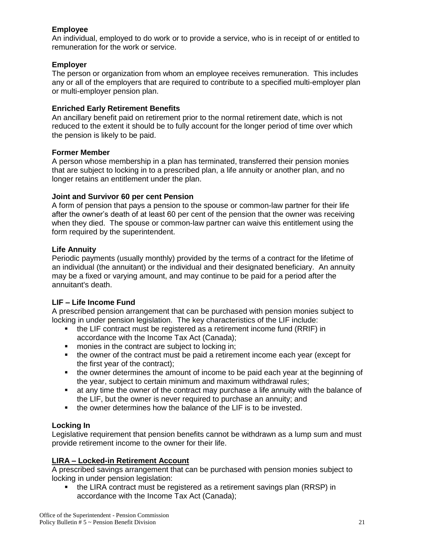# **Employee**

An individual, employed to do work or to provide a service, who is in receipt of or entitled to remuneration for the work or service.

## **Employer**

The person or organization from whom an employee receives remuneration. This includes any or all of the employers that are required to contribute to a specified multi-employer plan or multi-employer pension plan.

## **Enriched Early Retirement Benefits**

An ancillary benefit paid on retirement prior to the normal retirement date, which is not reduced to the extent it should be to fully account for the longer period of time over which the pension is likely to be paid.

# **Former Member**

A person whose membership in a plan has terminated, transferred their pension monies that are subject to locking in to a prescribed plan, a life annuity or another plan, and no longer retains an entitlement under the plan.

# **Joint and Survivor 60 per cent Pension**

A form of pension that pays a pension to the spouse or common-law partner for their life after the owner's death of at least 60 per cent of the pension that the owner was receiving when they died. The spouse or common-law partner can waive this entitlement using the form required by the superintendent.

# **Life Annuity**

Periodic payments (usually monthly) provided by the terms of a contract for the lifetime of an individual (the annuitant) or the individual and their designated beneficiary. An annuity may be a fixed or varying amount, and may continue to be paid for a period after the annuitant's death.

# **LIF – Life Income Fund**

A prescribed pension arrangement that can be purchased with pension monies subject to locking in under pension legislation. The key characteristics of the LIF include:

- the LIF contract must be registered as a retirement income fund (RRIF) in accordance with the Income Tax Act (Canada);
- **n** monies in the contract are subject to locking in;
- the owner of the contract must be paid a retirement income each year (except for the first year of the contract);
- the owner determines the amount of income to be paid each year at the beginning of the year, subject to certain minimum and maximum withdrawal rules;
- at any time the owner of the contract may purchase a life annuity with the balance of the LIF, but the owner is never required to purchase an annuity; and
- the owner determines how the balance of the LIF is to be invested.

# **Locking In**

Legislative requirement that pension benefits cannot be withdrawn as a lump sum and must provide retirement income to the owner for their life.

# **LIRA – Locked-in Retirement Account**

A prescribed savings arrangement that can be purchased with pension monies subject to locking in under pension legislation:

• the LIRA contract must be registered as a retirement savings plan (RRSP) in accordance with the Income Tax Act (Canada);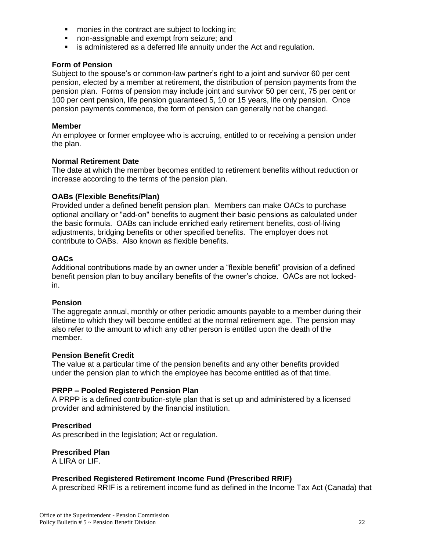- **number 1** monies in the contract are subject to locking in;
- non-assignable and exempt from seizure; and
- **EXTERN** is administered as a deferred life annuity under the Act and regulation.

#### **Form of Pension**

Subject to the spouse's or common-law partner's right to a joint and survivor 60 per cent pension, elected by a member at retirement, the distribution of pension payments from the pension plan. Forms of pension may include joint and survivor 50 per cent, 75 per cent or 100 per cent pension, life pension guaranteed 5, 10 or 15 years, life only pension. Once pension payments commence, the form of pension can generally not be changed.

#### **Member**

An employee or former employee who is accruing, entitled to or receiving a pension under the plan.

#### **Normal Retirement Date**

The date at which the member becomes entitled to retirement benefits without reduction or increase according to the terms of the pension plan.

#### **OABs (Flexible Benefits/Plan)**

Provided under a defined benefit pension plan. Members can make OACs to purchase optional ancillary or "add-on" benefits to augment their basic pensions as calculated under the basic formula. OABs can include enriched early retirement benefits, cost‐of‐living adjustments, bridging benefits or other specified benefits. The employer does not contribute to OABs. Also known as flexible benefits.

#### **OACs**

Additional contributions made by an owner under a "flexible benefit" provision of a defined benefit pension plan to buy ancillary benefits of the owner's choice. OACs are not lockedin.

#### **Pension**

The aggregate annual, monthly or other periodic amounts payable to a member during their lifetime to which they will become entitled at the normal retirement age. The pension may also refer to the amount to which any other person is entitled upon the death of the member.

#### **Pension Benefit Credit**

The value at a particular time of the pension benefits and any other benefits provided under the pension plan to which the employee has become entitled as of that time.

## **PRPP – Pooled Registered Pension Plan**

A PRPP is a defined contribution-style plan that is set up and administered by a licensed provider and administered by the financial institution.

#### **Prescribed**

As prescribed in the legislation; Act or regulation.

#### **Prescribed Plan**

A LIRA or LIF.

## **Prescribed Registered Retirement Income Fund (Prescribed RRIF)**

A prescribed RRIF is a retirement income fund as defined in the Income Tax Act (Canada) that